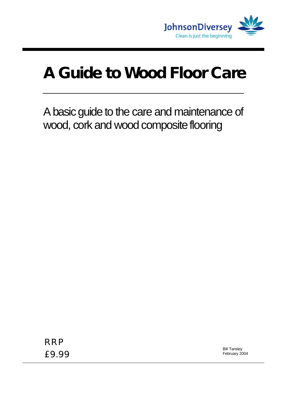

# **A Guide to Wood Floor Care**

A basic guide to the care and maintenance of wood, cork and wood composite flooring

RRP £9.99

Bill Tansley February 2004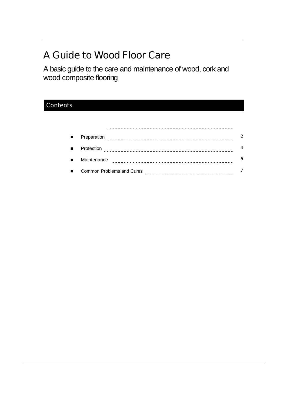# A Guide to Wood Floor Care

A basic guide to the care and maintenance of wood, cork and wood composite flooring

### **Contents**

| п.             | Preparation                                                 | $\mathcal{P}$ |
|----------------|-------------------------------------------------------------|---------------|
| $\blacksquare$ | Protection                                                  | 4             |
| $\blacksquare$ | Maintenance                                                 | 6             |
| п.             | Common Problems and Cures<br>------------------------------ |               |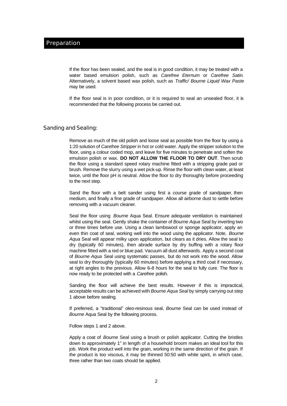If the floor has been sealed, and the seal is in good condition, it may be treated with a water based emulsion polish, such as *Carefree Eternum* or *Carefree Satin*. Alternatively, a solvent based wax polish, such as *Traffic/ Bourne Liquid Wax Paste* may be used.

If the floor seal is in poor condition, or it is required to seal an unsealed floor, it is recommended that the following process be carried out.

#### Sanding and Sealing:

Remove as much of the old polish and loose seal as possible from the floor by using a 1:20 solution of *Carefree Stripper* in hot or cold water. Apply the stripper solution to the floor, using a colour coded mop, and leave for five minutes to penetrate and soften the emulsion polish or wax. **DO NOT ALLOW THE FLOOR TO DRY OUT**. Then scrub the floor using a standard speed rotary machine fitted with a stripping grade pad or brush. Remove the slurry using a wet pick-up. Rinse the floor with clean water, at least twice, until the floor pH is neutral. Allow the floor to dry thoroughly before proceeding to the next step.

Sand the floor with a belt sander using first a course grade of sandpaper, then medium, and finally a fine grade of sandpaper. Allow all airborne dust to settle before removing with a vacuum cleaner.

Seal the floor using *Bourne* Aqua Seal. Ensure adequate ventilation is maintained whilst using the seal. Gently shake the container of *Bourne Aqua* Seal by inverting two or three times before use. Using a clean lambswool or sponge applicator, apply an even thin coat of seal, working well into the wood using the applicator. Note, *Bourne Aqua* Seal will appear milky upon application, but clears as it dries. Allow the seal to dry (typically 60 minutes), then abrade surface by dry buffing with a rotary floor machine fitted with a red or blue pad. Vacuum all dust afterwards. Apply a second coat of *Bourne Aqua* Seal using systematic passes, but do not work into the wood. Allow seal to dry thoroughly (typically 60 minutes) before applying a third coat if necessary, at right angles to the previous. Allow 6–8 hours for the seal to fully cure. The floor is now ready to be protected with a *Carefree* polish.

Sanding the floor will achieve the best results. However if this is impractical, acceptable results can be achieved with *Bourne Aqua Seal* by simply carrying out step 1 above before sealing.

If preferred, a "traditional" oleo-resinous seal, *Bourne* Seal can be used instead of *Bourne* Aqua Seal by the following process.

Follow steps 1 and 2 above.

Apply a coat of *Bourne* Seal using a brush or polish applicator. Cutting the bristles down to approximately 1" in length of a household broom makes an ideal tool for this job. Work the product well into the grain, working in the same direction of the grain. If the product is too viscous, it may be thinned 50:50 with white spirit, in which case, three rather than two coats should be applied.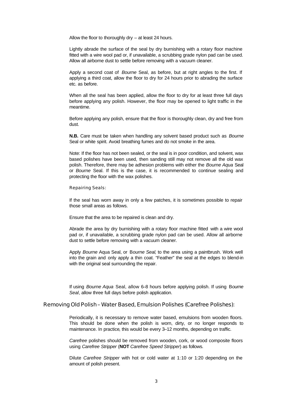Allow the floor to thoroughly dry – at least 24 hours.

Lightly abrade the surface of the seal by dry burnishing with a rotary floor machine fitted with a wire wool pad or, if unavailable, a scrubbing grade nylon pad can be used. Allow all airborne dust to settle before removing with a vacuum cleaner.

Apply a second coat of *Bourne* Seal, as before, but at right angles to the first. If applying a third coat, allow the floor to dry for 24 hours prior to abrading the surface etc. as before.

When all the seal has been applied, allow the floor to dry for at least three full days before applying any polish. However, the floor may be opened to light traffic in the meantime.

Before applying any polish, ensure that the floor is thoroughly clean, dry and free from dust.

**N.B.** Care must be taken when handling any solvent based product such as *Bourne* Seal or white spirit. Avoid breathing fumes and do not smoke in the area.

Note: If the floor has not been sealed, or the seal is in poor condition, and solvent, wax based polishes have been used, then sanding still may not remove all the old wax polish. Therefore, there may be adhesion problems with either the *Bourne Aqua* Seal or *Bourne* Seal. If this is the case, it is recommended to continue sealing and protecting the floor with the wax polishes.

Repairing Seals:

If the seal has worn away in only a few patches, it is sometimes possible to repair those small areas as follows.

Ensure that the area to be repaired is clean and dry.

Abrade the area by dry burnishing with a rotary floor machine fitted with a wire wool pad or, if unavailable, a scrubbing grade nylon pad can be used. Allow all airborne dust to settle before removing with a vacuum cleaner.

Apply *Bourne* Aqua Seal, or B*ourne Seal*, to the area using a paintbrush. Work well into the grain and only apply a thin coat. "Feather" the seal at the edges to blend-in with the original seal surrounding the repair.

If using *Bourne Aqua* Seal, allow 6–8 hours before applying polish. If using B*ourne Seal*, allow three full days before polish application.

Removing Old Polish – Water Based, Emulsion Polishes (*Carefree* Polishes):

Periodically, it is necessary to remove water based, emulsions from wooden floors. This should be done when the polish is worn, dirty, or no longer responds to maintenance. In practice, this would be every 3–12 months, depending on traffic.

*Carefree* polishes should be removed from wooden, cork, or wood composite floors using *Carefree Stripper* (**NOT** *Carefree Speed Stripper*) as follows.

Dilute *Carefree Stripper* with hot or cold water at 1:10 or 1:20 depending on the amount of polish present.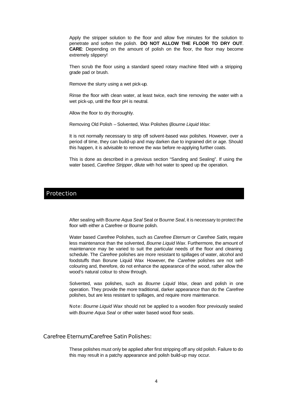Apply the stripper solution to the floor and allow five minutes for the solution to penetrate and soften the polish. **DO NOT ALLOW THE FLOOR TO DRY OUT**. **CARE**: Depending on the amount of polish on the floor, the floor may become extremely slippery!

Then scrub the floor using a standard speed rotary machine fitted with a stripping grade pad or brush.

Remove the slurry using a wet pick-up.

Rinse the floor with clean water, at least twice, each time removing the water with a wet pick-up, until the floor pH is neutral.

Allow the floor to dry thoroughly.

Removing Old Polish – Solvented, Wax Polishes (*Bourne Liquid Wax*:

It is not normally necessary to strip off solvent-based wax polishes. However, over a period of time, they can build-up and may darken due to ingrained dirt or age. Should this happen, it is advisable to remove the wax before re-applying further coats.

This is done as described in a previous section "Sanding and Sealing". If using the water based, *Carefree Stripper*, dilute with hot water to speed up the operation.

#### Protection

After sealing with B*ourne Aqua Seal* Seal or B*ourne Seal*, it is necessary to protect the floor with either a Carefree or Bourne polish.

Water based *Carefree* Polishes, such as *Carefree Eternum* or *Carefree Satin*, require less maintenance than the solvented, *Bourne Liquid Wax*. Furthermore, the amount of maintenance may be varied to suit the particular needs of the floor and cleaning schedule. The *Carefree* polishes are more resistant to spillages of water, alcohol and foodstuffs than Borune Liquid Wax However, the *Carefree* polishes are not selfcolouring and, therefore, do not enhance the appearance of the wood, rather allow the wood's natural colour to show through.

Solvented, wax polishes, such as *Bourne Liquid Wax*, clean and polish in one operation. They provide the more traditional, darker appearance than do the *Carefree* polishes, but are less resistant to spillages, and require more maintenance.

Note: *Bourne Liquid Wax* should not be applied to a wooden floor previously sealed with *Bourne Aqua Seal* or other water based wood floor seals.

Carefree Eternum/Carefree Satin Polishes:

These polishes must only be applied after first stripping off any old polish. Failure to do this may result in a patchy appearance and polish build-up may occur.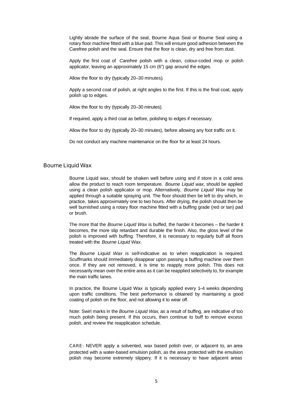Lightly abrade the surface of the seal, Bourne Aqua Seal or Bourne Seal using a rotary floor machine fitted with a blue pad. This will ensure good adhesion between the Carefree polish and the seal. Ensure that the floor is clean, dry and free from dust.

Apply the first coat of *Carefree* polish with a clean, colour-coded mop or polish applicator, leaving an approximately 15 cm (6") gap around the edges.

Allow the floor to dry (typically 20–30 minutes).

Apply a second coat of polish, at right angles to the first. If this is the final coat, apply polish up to edges.

Allow the floor to dry (typically 20–30 minutes).

If required, apply a third coat as before, polishing to edges if necessary.

Allow the floor to dry (typically 20–30 minutes), before allowing any foot traffic on it.

Do not conduct any machine maintenance on the floor for at least 24 hours.

#### Bourne Liquid Wax

Bourne Liquid wax, should be shaken well before using and if store in a cold area allow the product to reach room temperature. *Bourne Liquid wax*, should be applied using a clean polish applicator or mop. Alternatively, *Bourne Liquid Wax* may be applied through a suitable spraying unit. The floor should then be left to dry which, in practice, takes approximately one to two hours. After drying, the polish should then be well burnished using a rotary floor machine fitted with a buffing grade (red or tan) pad or brush.

The more that the *Bourne Liquid Wax* is buffed, the harder it becomes – the harder it becomes, the more slip retardant and durable the finish. Also, the gloss level of the polish is improved with buffing. Therefore, it is necessary to regularly buff all floors treated with the *Bourne Liquid Wax*.

The *Bourne Liquid Wax* is self-indicative as to when reapplication is required. Scuffmarks should immediately disappear upon passing a buffing machine over them once. If they are not removed, it is time to reapply more polish. This does not necessarily mean over the entire area as it can be reapplied selectively to, for example the main traffic lanes.

In practice, the Bourne Liquid Wax is typically applied every 1–4 weeks depending upon traffic conditions. The best performance is obtained by maintaining a good coating of polish on the floor, and not allowing it to wear off.

Note: Swirl marks in the *Bourne Liquid Wax*, as a result of buffing, are indicative of too much polish being present. If this occurs, then continue to buff to remove excess polish, and review the reapplication schedule.

CARE: NEVER apply a solvented, wax based polish over, or adjacent to, an area protected with a water-based emulsion polish, as the area protected with the emulsion polish may become extremely slippery. If it is necessary to have adjacent areas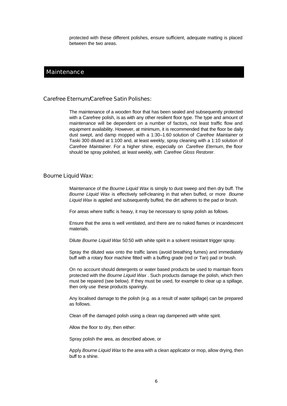protected with these different polishes, ensure sufficient, adequate matting is placed between the two areas.

#### **Maintenance**

#### Carefree Eternum/Carefree Satin Polishes:

The maintenance of a wooden floor that has been sealed and subsequently protected with a Carefree polish, is as with any other resilient floor type. The type and amount of maintenance will be dependent on a number of factors, not least traffic flow and equipment availability. However, at minimum, it is recommended that the floor be daily dust swept, and damp mopped with a 1:30–1:60 solution of *Carefree Maintainer* or Taski 300 diluted at 1:100 and, at least weekly, spray cleaning with a 1:10 solution of *Carefree Maintainer*. For a higher shine, especially on *Carefree Eternum*, the floor should be spray polished, at least weekly, with *Carefree Gloss Restorer*.

#### Bourne Liquid Wax:

Maintenance of the *Bourne Liquid Wax* is simply to dust sweep and then dry buff. The *Bourne Liquid Wax* is effectively self-cleaning in that when buffed, or more *Bourne Liquid Wax* is applied and subsequently buffed, the dirt adheres to the pad or brush.

For areas where traffic is heavy, it may be necessary to spray polish as follows.

Ensure that the area is well ventilated, and there are no naked flames or incandescent materials.

Dilute *Bourne Liquid Wax* 50:50 with white spirit in a solvent resistant trigger spray.

Spray the diluted wax onto the traffic lanes (avoid breathing fumes) and immediately buff with a rotary floor machine fitted with a buffing grade (red or Tan) pad or brush.

On no account should detergents or water based products be used to maintain floors protected with the *Bourne Liquid Wax* . Such products damage the polish, which then must be repaired (see below). If they must be used, for example to clear up a spillage, then only use these products sparingly.

Any localised damage to the polish (e.g. as a result of water spillage) can be prepared as follows.

Clean off the damaged polish using a clean rag dampened with white spirit.

Allow the floor to dry, then either:

Spray polish the area, as described above, or

Apply *Bourne Liquid Wax* to the area with a clean applicator or mop, allow drying, then buff to a shine.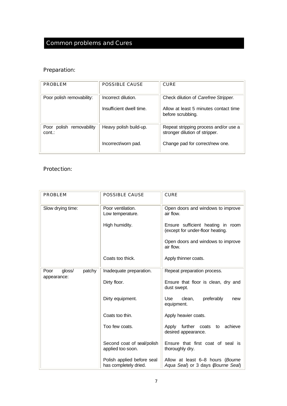# Common problems and Cures

## Preparation:

| <b>PROBLEM</b>                     | POSSIBLE CAUSE                                  | <b>CURF</b>                                                                                                |
|------------------------------------|-------------------------------------------------|------------------------------------------------------------------------------------------------------------|
| Poor polish removability:          | Incorrect dilution.<br>Insufficient dwell time. | Check dilution of Carefree Stripper.<br>Allow at least 5 minutes contact time<br>before scrubbing.         |
| Poor polish removability<br>cont.: | Heavy polish build-up.<br>Incorrect/worn pad.   | Repeat stripping process and/or use a<br>stronger dilution of stripper.<br>Change pad for correct/new one. |
|                                    |                                                 |                                                                                                            |

### Protection:

| <b>PROBLEM</b>           | <b>POSSIBLE CAUSE</b>                               | <b>CURE</b>                                                            |
|--------------------------|-----------------------------------------------------|------------------------------------------------------------------------|
| Slow drying time:        | Poor ventilation.<br>Low temperature.               | Open doors and windows to improve<br>air flow.                         |
|                          | High humidity.                                      | Ensure sufficient heating in room<br>(except for under-floor heating.  |
|                          |                                                     | Open doors and windows to improve<br>air flow.                         |
|                          | Coats too thick.                                    | Apply thinner coats.                                                   |
| gloss/<br>patchy<br>Poor | Inadequate preparation.                             | Repeat preparation process.                                            |
| appearance:              | Dirty floor.                                        | Ensure that floor is clean, dry and<br>dust swept.                     |
|                          | Dirty equipment.                                    | <b>Use</b><br>clean,<br>preferably<br>new<br>equipment.                |
|                          | Coats too thin.                                     | Apply heavier coats.                                                   |
|                          | Too few coats.                                      | Apply further coats to achieve<br>desired appearance.                  |
|                          | Second coat of seal/polish<br>applied too soon.     | Ensure that first coat of seal is<br>thoroughly dry.                   |
|                          | Polish applied before seal<br>has completely dried. | Allow at least 6–8 hours (Bourne<br>Aqua Seal) or 3 days (Bourne Seal) |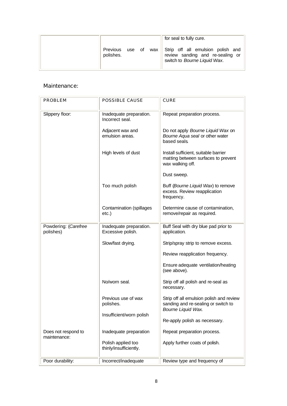|                              | for seal to fully cure.                                                                                   |
|------------------------------|-----------------------------------------------------------------------------------------------------------|
| Previous use of<br>polishes. | wax Strip off all emulsion polish and<br>review sanding and re-sealing or<br>switch to Bourne Liquid Wax. |

#### Maintenance:

| <b>PROBLEM</b>                      | <b>POSSIBLE CAUSE</b>                        | <b>CURE</b>                                                                                                  |
|-------------------------------------|----------------------------------------------|--------------------------------------------------------------------------------------------------------------|
| Slippery floor:                     | Inadequate preparation.<br>Incorrect seal.   | Repeat preparation process.                                                                                  |
|                                     | Adjacent wax and<br>emulsion areas.          | Do not apply Bourne Liquid Wax on<br>Bourne Aqua seal or other water<br>based seals.                         |
|                                     | High levels of dust                          | Install sufficient, suitable barrier<br>matting between surfaces to prevent<br>wax walking off.              |
|                                     |                                              | Dust sweep.                                                                                                  |
|                                     | Too much polish                              | Buff (Bourne Liquid Wax) to remove<br>excess. Review reapplication<br>frequency.                             |
|                                     | Contamination (spillages<br>$etc.$ )         | Determine cause of contamination,<br>remove/repair as required.                                              |
| Powdering: (Carefree<br>polishes)   | Inadequate preparation.<br>Excessive polish. | Buff Seal with dry blue pad prior to<br>application.                                                         |
|                                     | Slow/fast drying.                            | Strip/spray strip to remove excess.                                                                          |
|                                     |                                              | Review reapplication frequency.                                                                              |
|                                     |                                              | Ensure adequate ventilation/heating<br>(see above).                                                          |
|                                     | No/worn seal.                                | Strip off all polish and re-seal as<br>necessary.                                                            |
|                                     | Previous use of wax<br>polishes.             | Strip off all emulsion polish and review<br>sanding and re-sealing or switch to<br><b>Bourne Liquid Wax.</b> |
|                                     | Insufficient/worn polish                     | Re-apply polish as necessary.                                                                                |
| Does not respond to<br>maintenance: | Inadequate preparation                       | Repeat preparation process.                                                                                  |
|                                     | Polish applied too<br>thinly/insufficiently. | Apply further coats of polish.                                                                               |
| Poor durability:                    | Incorrect/inadequate                         | Review type and frequency of                                                                                 |